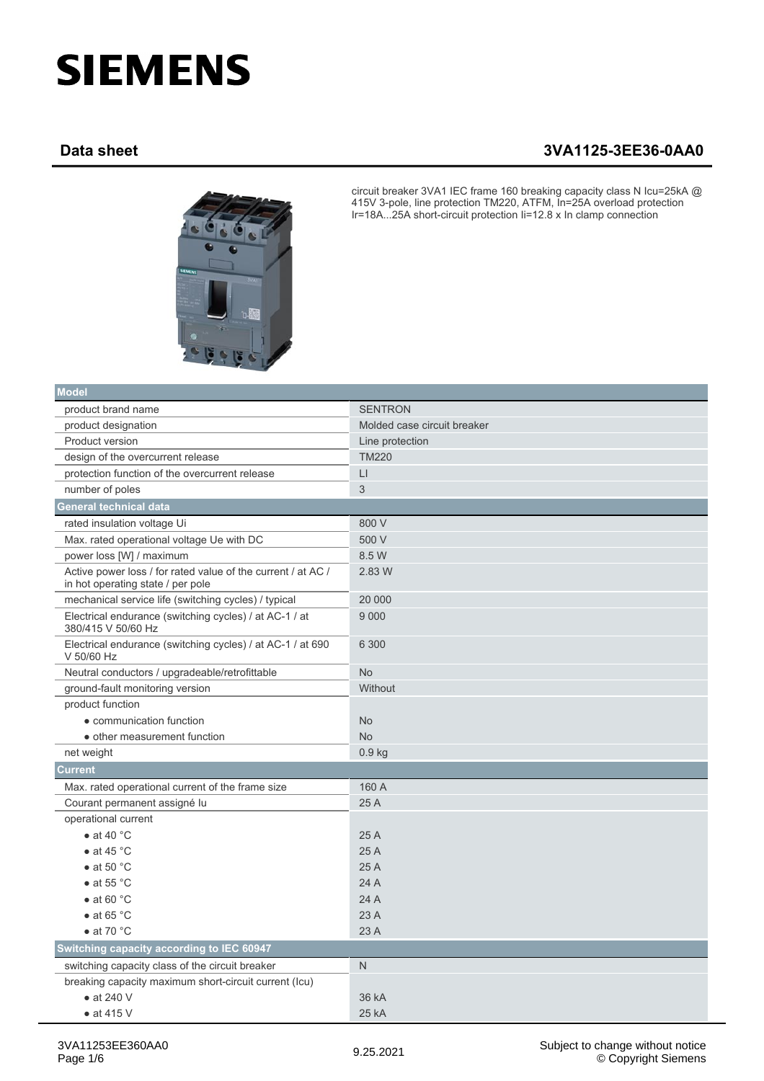## **SIEMENS**

## **Data sheet 3VA1125-3EE36-0AA0**



circuit breaker 3VA1 IEC frame 160 breaking capacity class N Icu=25kA @ 415V 3-pole, line protection TM220, ATFM, In=25A overload protection Ir=18A...25A short-circuit protection Ii=12.8 x In clamp connection

| <b>Model</b>                                                                                      |                             |
|---------------------------------------------------------------------------------------------------|-----------------------------|
| product brand name                                                                                | <b>SENTRON</b>              |
| product designation                                                                               | Molded case circuit breaker |
| <b>Product version</b>                                                                            | Line protection             |
| design of the overcurrent release                                                                 | <b>TM220</b>                |
| protection function of the overcurrent release                                                    | $\lfloor$                   |
| number of poles                                                                                   | 3                           |
| <b>General technical data</b>                                                                     |                             |
| rated insulation voltage Ui                                                                       | 800 V                       |
| Max. rated operational voltage Ue with DC                                                         | 500 V                       |
| power loss [W] / maximum                                                                          | 8.5 W                       |
| Active power loss / for rated value of the current / at AC /<br>in hot operating state / per pole | 2.83 W                      |
| mechanical service life (switching cycles) / typical                                              | 20 000                      |
| Electrical endurance (switching cycles) / at AC-1 / at<br>380/415 V 50/60 Hz                      | 9 0 0 0                     |
| Electrical endurance (switching cycles) / at AC-1 / at 690<br>V 50/60 Hz                          | 6 300                       |
| Neutral conductors / upgradeable/retrofittable                                                    | <b>No</b>                   |
| ground-fault monitoring version                                                                   | Without                     |
| product function                                                                                  |                             |
| • communication function                                                                          | <b>No</b>                   |
| • other measurement function                                                                      | <b>No</b>                   |
| net weight                                                                                        | $0.9$ kg                    |
| <b>Current</b>                                                                                    |                             |
| Max. rated operational current of the frame size                                                  | 160 A                       |
| Courant permanent assigné lu                                                                      | 25 A                        |
| operational current                                                                               |                             |
| $\bullet$ at 40 °C                                                                                | 25 A                        |
| • at 45 $^{\circ}$ C                                                                              | 25 A                        |
| $\bullet$ at 50 °C                                                                                | 25A                         |
| $\bullet$ at 55 °C                                                                                | 24 A                        |
| $\bullet$ at 60 °C                                                                                | 24 A                        |
| • at 65 $^{\circ}$ C                                                                              | 23A                         |
| $\bullet$ at 70 °C                                                                                | 23 A                        |
| Switching capacity according to IEC 60947                                                         |                             |
| switching capacity class of the circuit breaker                                                   | $\mathsf{N}$                |
| breaking capacity maximum short-circuit current (Icu)                                             |                             |
| $\bullet$ at 240 V                                                                                | 36 kA                       |
| $\bullet$ at 415 V                                                                                | 25 kA                       |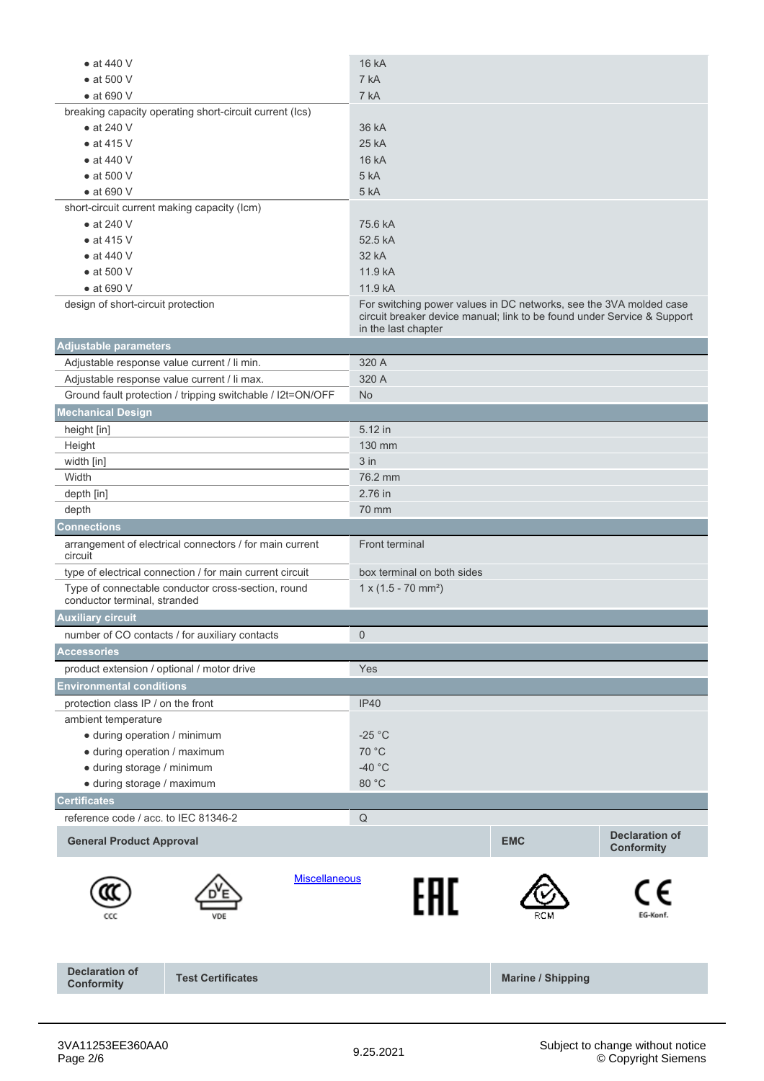| $\bullet$ at 440 V                                                                 | <b>16 kA</b>                                                                                   |                          |                       |  |
|------------------------------------------------------------------------------------|------------------------------------------------------------------------------------------------|--------------------------|-----------------------|--|
| $\bullet$ at 500 V                                                                 | 7 kA                                                                                           |                          |                       |  |
| $\bullet$ at 690 V                                                                 | 7 kA                                                                                           |                          |                       |  |
| breaking capacity operating short-circuit current (Ics)                            |                                                                                                |                          |                       |  |
| $\bullet$ at 240 V                                                                 | 36 kA                                                                                          |                          |                       |  |
| $\bullet$ at 415 V                                                                 | 25 kA                                                                                          |                          |                       |  |
| $\bullet$ at 440 V                                                                 | 16 kA                                                                                          |                          |                       |  |
| $\bullet$ at 500 V                                                                 | 5 kA                                                                                           |                          |                       |  |
| $\bullet$ at 690 V                                                                 | 5 kA                                                                                           |                          |                       |  |
| short-circuit current making capacity (lcm)                                        |                                                                                                |                          |                       |  |
| $\bullet$ at 240 V                                                                 | 75.6 kA                                                                                        |                          |                       |  |
| $\bullet$ at 415 V                                                                 | 52.5 kA                                                                                        |                          |                       |  |
| $\bullet$ at 440 V                                                                 | 32 kA                                                                                          |                          |                       |  |
| $\bullet$ at 500 V                                                                 | 11.9 kA                                                                                        |                          |                       |  |
| $\bullet$ at 690 V                                                                 | 11.9 kA                                                                                        |                          |                       |  |
| design of short-circuit protection                                                 | For switching power values in DC networks, see the 3VA molded case                             |                          |                       |  |
|                                                                                    | circuit breaker device manual; link to be found under Service & Support<br>in the last chapter |                          |                       |  |
| <b>Adjustable parameters</b>                                                       |                                                                                                |                          |                       |  |
| Adjustable response value current / li min.                                        | 320 A                                                                                          |                          |                       |  |
| Adjustable response value current / li max.                                        | 320 A                                                                                          |                          |                       |  |
| Ground fault protection / tripping switchable / I2t=ON/OFF                         | N <sub>o</sub>                                                                                 |                          |                       |  |
| <b>Mechanical Design</b>                                                           |                                                                                                |                          |                       |  |
| height [in]                                                                        | 5.12 in                                                                                        |                          |                       |  |
| Height                                                                             | 130 mm                                                                                         |                          |                       |  |
| width [in]                                                                         | $3$ in                                                                                         |                          |                       |  |
| Width                                                                              | 76.2 mm                                                                                        |                          |                       |  |
| depth [in]                                                                         | 2.76 in                                                                                        |                          |                       |  |
| depth                                                                              | 70 mm                                                                                          |                          |                       |  |
| <b>Connections</b>                                                                 |                                                                                                |                          |                       |  |
| arrangement of electrical connectors / for main current                            | Front terminal                                                                                 |                          |                       |  |
| circuit                                                                            |                                                                                                |                          |                       |  |
| type of electrical connection / for main current circuit                           | box terminal on both sides                                                                     |                          |                       |  |
| Type of connectable conductor cross-section, round<br>conductor terminal, stranded | $1 \times (1.5 - 70 \text{ mm}^2)$                                                             |                          |                       |  |
| <b>Auxiliary circuit</b>                                                           |                                                                                                |                          |                       |  |
| number of CO contacts / for auxiliary contacts                                     | $\mathsf{O}\xspace$                                                                            |                          |                       |  |
| <b>Accessories</b>                                                                 |                                                                                                |                          |                       |  |
| product extension / optional / motor drive                                         | Yes                                                                                            |                          |                       |  |
| <b>Environmental conditions</b>                                                    |                                                                                                |                          |                       |  |
| protection class IP / on the front                                                 | <b>IP40</b>                                                                                    |                          |                       |  |
| ambient temperature                                                                |                                                                                                |                          |                       |  |
| · during operation / minimum                                                       | $-25 °C$                                                                                       |                          |                       |  |
| · during operation / maximum                                                       | 70 °C                                                                                          |                          |                       |  |
| · during storage / minimum                                                         | $-40$ °C                                                                                       |                          |                       |  |
| · during storage / maximum                                                         | 80 °C                                                                                          |                          |                       |  |
| <b>Certificates</b>                                                                |                                                                                                |                          |                       |  |
| reference code / acc. to IEC 81346-2                                               | $\mathsf Q$                                                                                    |                          |                       |  |
|                                                                                    |                                                                                                |                          | <b>Declaration of</b> |  |
| <b>General Product Approval</b>                                                    |                                                                                                | <b>EMC</b>               | Conformity            |  |
| <b>Miscellaneous</b>                                                               |                                                                                                |                          |                       |  |
|                                                                                    | FAL                                                                                            |                          |                       |  |
| VDE                                                                                |                                                                                                |                          | EG-Konf.              |  |
|                                                                                    |                                                                                                |                          |                       |  |
| <b>Declaration of</b><br><b>Test Certificates</b>                                  |                                                                                                | <b>Marine / Shipping</b> |                       |  |
| <b>Conformity</b>                                                                  |                                                                                                |                          |                       |  |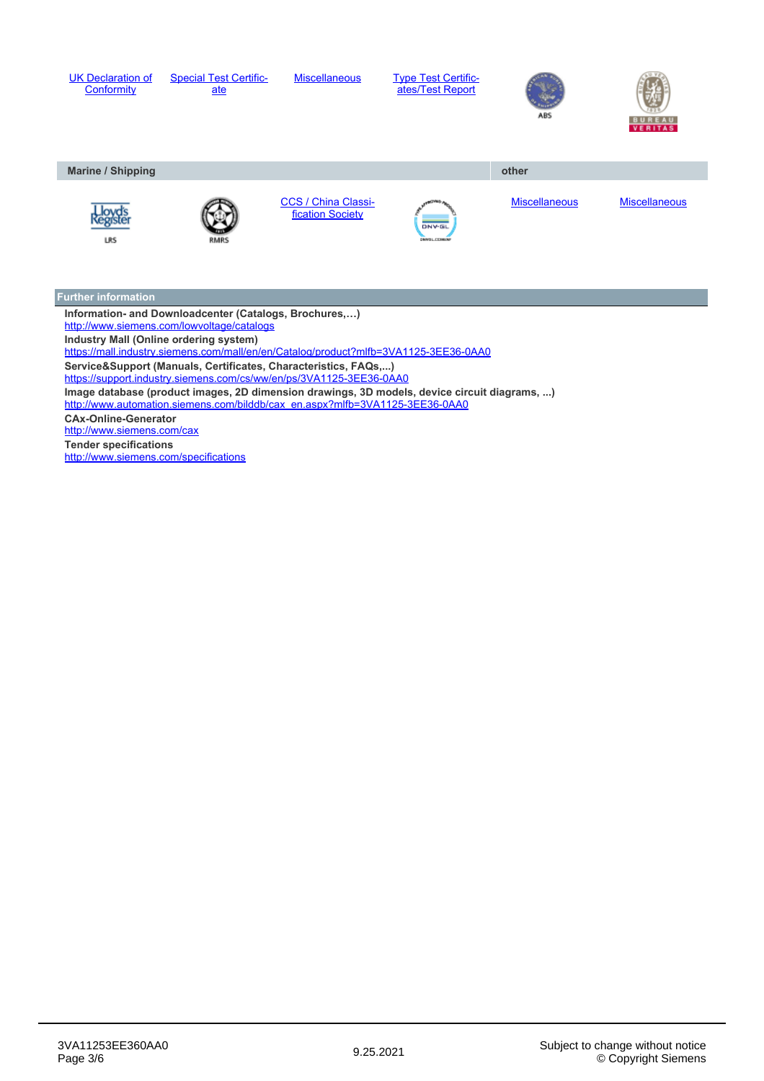

**Information- and Downloadcenter (Catalogs, Brochures,…)** <http://www.siemens.com/lowvoltage/catalogs> **Industry Mall (Online ordering system)** <https://mall.industry.siemens.com/mall/en/en/Catalog/product?mlfb=3VA1125-3EE36-0AA0> **Service&Support (Manuals, Certificates, Characteristics, FAQs,...)** <https://support.industry.siemens.com/cs/ww/en/ps/3VA1125-3EE36-0AA0> **Image database (product images, 2D dimension drawings, 3D models, device circuit diagrams, ...)** [http://www.automation.siemens.com/bilddb/cax\\_en.aspx?mlfb=3VA1125-3EE36-0AA0](http://www.automation.siemens.com/bilddb/cax_en.aspx?mlfb=3VA1125-3EE36-0AA0) **CAx-Online-Generator** <http://www.siemens.com/cax> **Tender specifications** <http://www.siemens.com/specifications>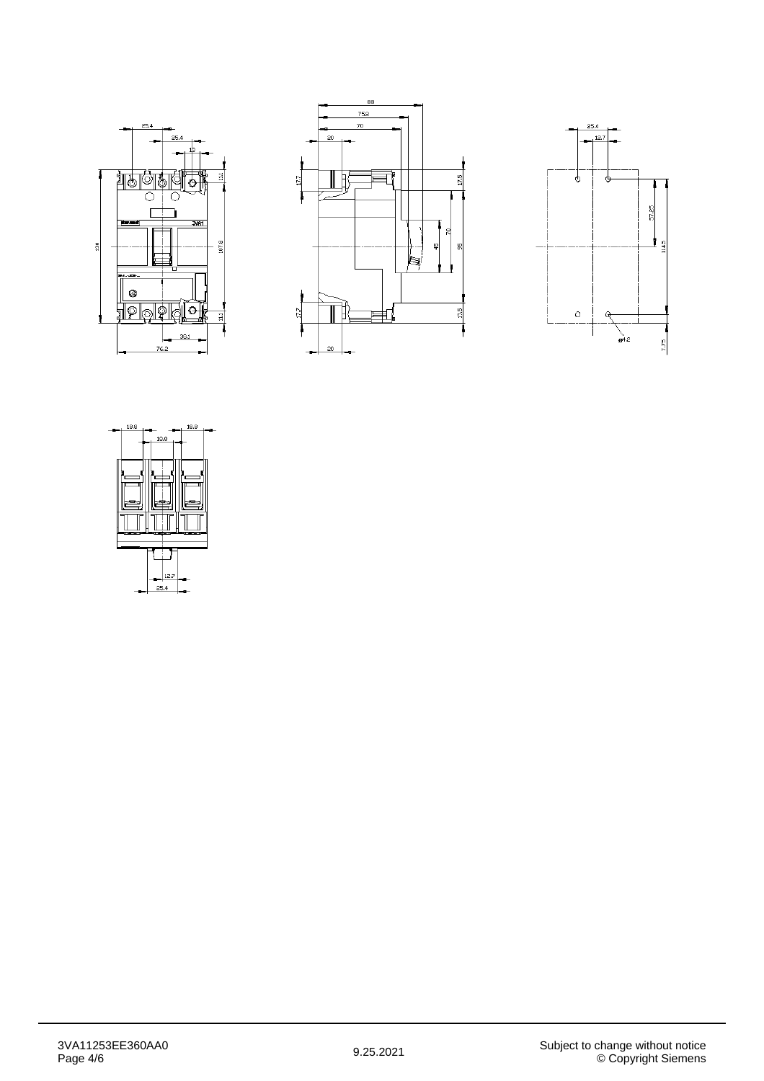